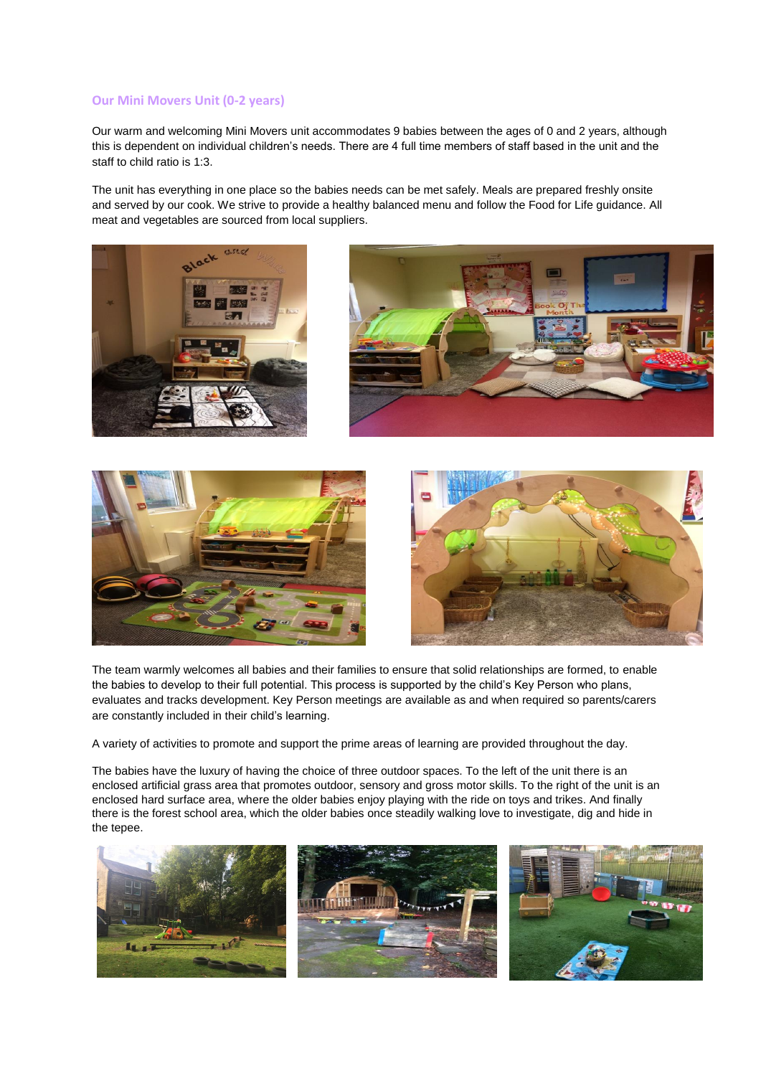#### **Our Mini Movers Unit (0-2 years)**

Our warm and welcoming Mini Movers unit accommodates 9 babies between the ages of 0 and 2 years, although this is dependent on individual children's needs. There are 4 full time members of staff based in the unit and the staff to child ratio is 1:3.

The unit has everything in one place so the babies needs can be met safely. Meals are prepared freshly onsite and served by our cook. We strive to provide a healthy balanced menu and follow the Food for Life guidance. All meat and vegetables are sourced from local suppliers.







The team warmly welcomes all babies and their families to ensure that solid relationships are formed, to enable the babies to develop to their full potential. This process is supported by the child's Key Person who plans, evaluates and tracks development. Key Person meetings are available as and when required so parents/carers are constantly included in their child's learning.

A variety of activities to promote and support the prime areas of learning are provided throughout the day.

The babies have the luxury of having the choice of three outdoor spaces. To the left of the unit there is an enclosed artificial grass area that promotes outdoor, sensory and gross motor skills. To the right of the unit is an enclosed hard surface area, where the older babies enjoy playing with the ride on toys and trikes. And finally there is the forest school area, which the older babies once steadily walking love to investigate, dig and hide in the tepee.

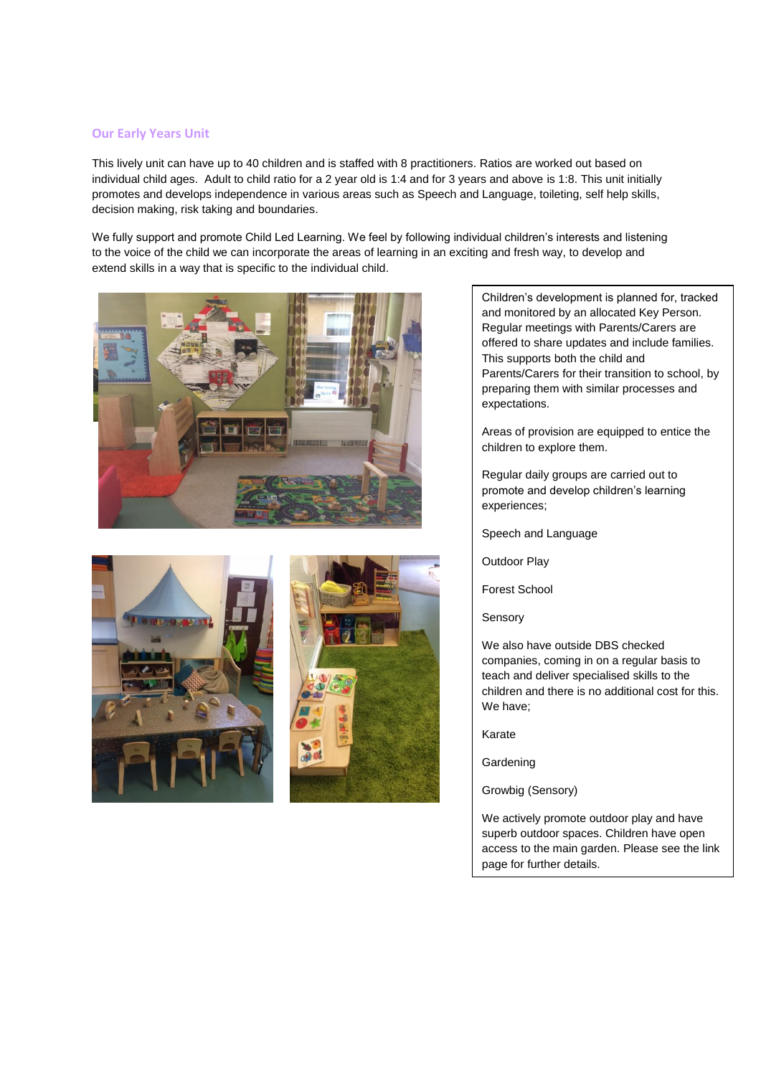#### **Our Early Years Unit**

This lively unit can have up to 40 children and is staffed with 8 practitioners. Ratios are worked out based on individual child ages. Adult to child ratio for a 2 year old is 1:4 and for 3 years and above is 1:8. This unit initially promotes and develops independence in various areas such as Speech and Language, toileting, self help skills, decision making, risk taking and boundaries.

We fully support and promote Child Led Learning. We feel by following individual children's interests and listening to the voice of the child we can incorporate the areas of learning in an exciting and fresh way, to develop and extend skills in a way that is specific to the individual child.







Children's development is planned for, tracked and monitored by an allocated Key Person. Regular meetings with Parents/Carers are offered to share updates and include families. This supports both the child and Parents/Carers for their transition to school, by preparing them with similar processes and expectations.

Areas of provision are equipped to entice the children to explore them.

Regular daily groups are carried out to promote and develop children's learning experiences;

Speech and Language

Outdoor Play

Forest School

Sensory

We also have outside DBS checked companies, coming in on a regular basis to teach and deliver specialised skills to the children and there is no additional cost for this. We have;

Karate

**Gardening** 

Growbig (Sensory)

We actively promote outdoor play and have superb outdoor spaces. Children have open access to the main garden. Please see the link page for further details.